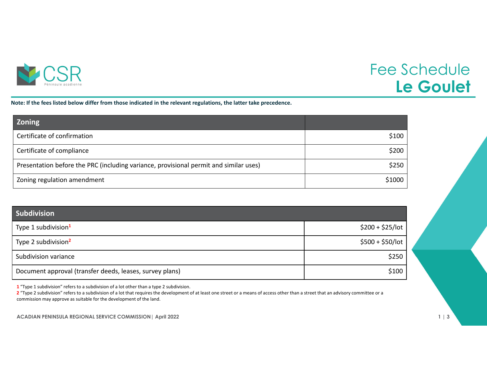

## Fee Schedule **Le Goulet**

Note: If the fees listed below differ from those indicated in the relevant regulations, the latter take precedence.

| <b>Zoning</b>                                                                         |        |
|---------------------------------------------------------------------------------------|--------|
| Certificate of confirmation                                                           | \$100  |
| Certificate of compliance                                                             | \$200  |
| Presentation before the PRC (including variance, provisional permit and similar uses) | \$250  |
| Zoning regulation amendment                                                           | \$1000 |

| <b>Subdivision</b>                                       |                   |
|----------------------------------------------------------|-------------------|
| Type 1 subdivision <sup>1</sup>                          | $$200 + $25/$ lot |
| Type 2 subdivision <sup>2</sup>                          | $$500 + $50/$ lot |
| Subdivision variance                                     | \$250             |
| Document approval (transfer deeds, leases, survey plans) | \$100             |

**1** "Type 1 subdivision" refers to <sup>a</sup> subdivision of <sup>a</sup> lot other than <sup>a</sup> type 2 subdivision.

**2** "Type 2 subdivision" refers to <sup>a</sup> subdivision of <sup>a</sup> lot that requires the development of at least one street or <sup>a</sup> means of access other than <sup>a</sup> street that an advisory committee or <sup>a</sup> commission may approve as suitable for the development of the land.

**ACADIAN PENINSULA REGIONAL SERVICE COMMISSION| April 2022 1 | 3**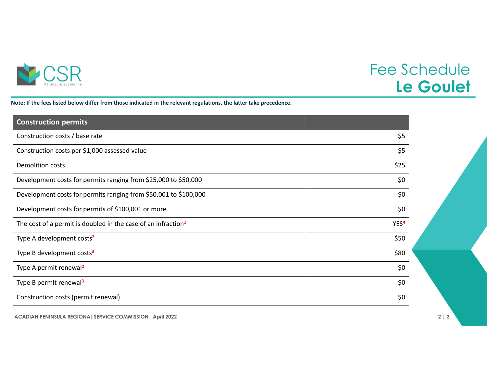

## Fee Schedule **Le Goulet**

Note: If the fees listed below differ from those indicated in the relevant regulations, the latter take precedence.

| <b>Construction permits</b>                                               |                  |
|---------------------------------------------------------------------------|------------------|
| Construction costs / base rate                                            | \$5              |
| Construction costs per \$1,000 assessed value                             | \$5              |
| <b>Demolition costs</b>                                                   | \$25             |
| Development costs for permits ranging from \$25,000 to \$50,000           | \$0              |
| Development costs for permits ranging from \$50,001 to \$100,000          | \$0              |
| Development costs for permits of \$100,001 or more                        | \$0              |
| The cost of a permit is doubled in the case of an infraction <sup>1</sup> | YES <sup>4</sup> |
| Type A development costs <sup>2</sup>                                     | \$50             |
| Type B development costs <sup>3</sup>                                     | \$80             |
| Type A permit renewal <sup>2</sup>                                        | \$0              |
| Type B permit renewal <sup>3</sup>                                        | \$0              |
| Construction costs (permit renewal)                                       | \$0              |

**ACADIAN PENINSULA REGIONAL SERVICE COMMISSION| April 2022 2 | 3**